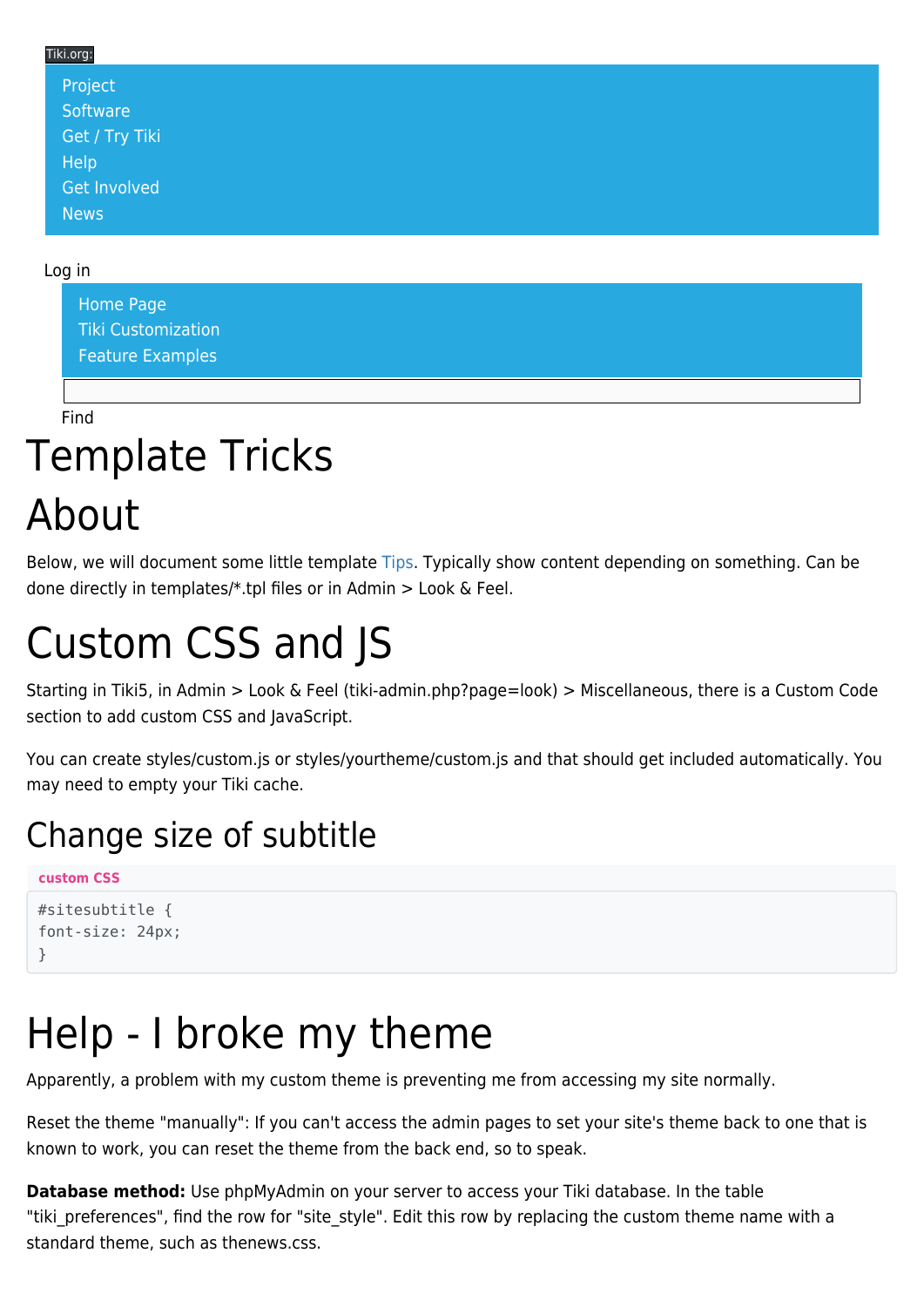#### Tiki.org: [Project](https://tiki.org/Project Introduction) **[Software](https://tiki.org/Software Overview and Model)** [Get / Try Tiki](https://tiki.org/Get Tiki - Try Tiki) **[Help](https://tiki.org/Get Help)** [Get Involved](https://tiki.org/Get Involved) [News](https://tiki.org/News)

#### Log in

[Home Page](https://themes.tiki.org/Themes) [Tiki Customization](https://themes.tiki.org/Tiki-Customization) [Feature Examples](#page--1-0)

Find

# Template Tricks

# About

Below, we will document some little template [Tips](https://themes.tiki.org/Tips). Typically show content depending on something. Can be done directly in templates/\*.tpl files or in Admin > Look & Feel.

# Custom CSS and JS

Starting in Tiki5, in Admin > Look & Feel (tiki-admin.php?page=look) > Miscellaneous, there is a Custom Code section to add custom CSS and JavaScript.

You can create styles/custom.js or styles/yourtheme/custom.js and that should get included automatically. You may need to empty your Tiki cache.

#### Change size of subtitle

```
custom CSS
```

```
#sitesubtitle {
font-size: 24px;
}
```
# Help - I broke my theme

Apparently, a problem with my custom theme is preventing me from accessing my site normally.

Reset the theme "manually": If you can't access the admin pages to set your site's theme back to one that is known to work, you can reset the theme from the back end, so to speak.

**Database method:** Use phpMyAdmin on your server to access your Tiki database. In the table "tiki preferences", find the row for "site style". Edit this row by replacing the custom theme name with a standard theme, such as thenews.css.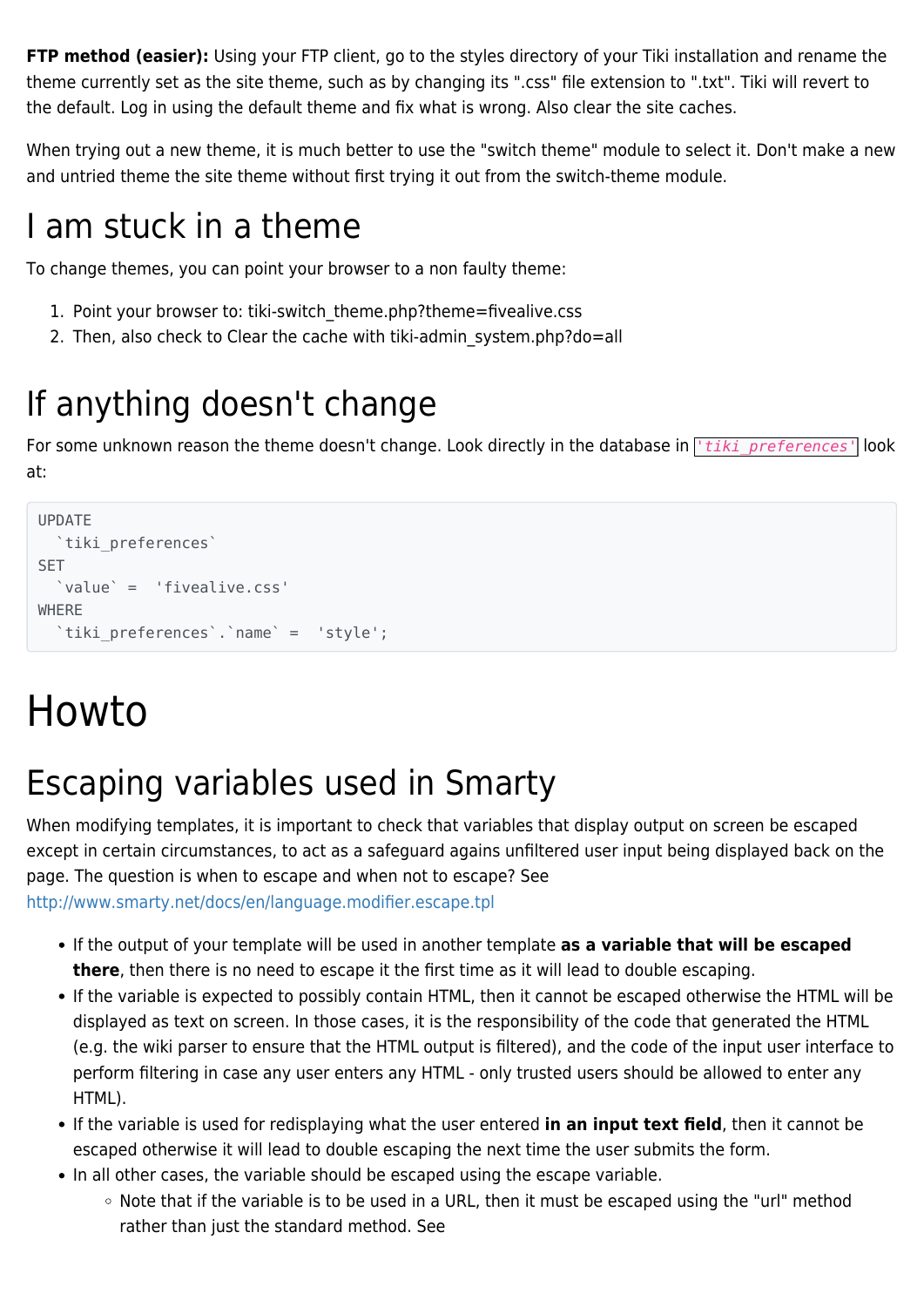**FTP method (easier):** Using your FTP client, go to the styles directory of your Tiki installation and rename the theme currently set as the site theme, such as by changing its ".css" file extension to ".txt". Tiki will revert to the default. Log in using the default theme and fix what is wrong. Also clear the site caches.

When trying out a new theme, it is much better to use the "switch theme" module to select it. Don't make a new and untried theme the site theme without first trying it out from the switch-theme module.

#### I am stuck in a theme

To change themes, you can point your browser to a non faulty theme:

- 1. Point your browser to: tiki-switch theme.php?theme=fivealive.css
- 2. Then, also check to Clear the cache with tiki-admin system.php?do=all

### If anything doesn't change

For some unknown reason the theme doesn't change. Look directly in the database in *tiki preferences*<sup>1</sup> look at:

```
UPDATE
  `tiki_preferences`
SET
   `value` = 'fivealive.css'
WHERE
   `tiki_preferences`.`name` = 'style';
```
# Howto

### Escaping variables used in Smarty

When modifying templates, it is important to check that variables that display output on screen be escaped except in certain circumstances, to act as a safeguard agains unfiltered user input being displayed back on the page. The question is when to escape and when not to escape? See <http://www.smarty.net/docs/en/language.modifier.escape.tpl>

- If the output of your template will be used in another template **as a variable that will be escaped there**, then there is no need to escape it the first time as it will lead to double escaping.
- If the variable is expected to possibly contain HTML, then it cannot be escaped otherwise the HTML will be displayed as text on screen. In those cases, it is the responsibility of the code that generated the HTML (e.g. the wiki parser to ensure that the HTML output is filtered), and the code of the input user interface to perform filtering in case any user enters any HTML - only trusted users should be allowed to enter any HTML).
- If the variable is used for redisplaying what the user entered **in an input text field**, then it cannot be escaped otherwise it will lead to double escaping the next time the user submits the form.
- In all other cases, the variable should be escaped using the escape variable.
	- o Note that if the variable is to be used in a URL, then it must be escaped using the "url" method rather than just the standard method. See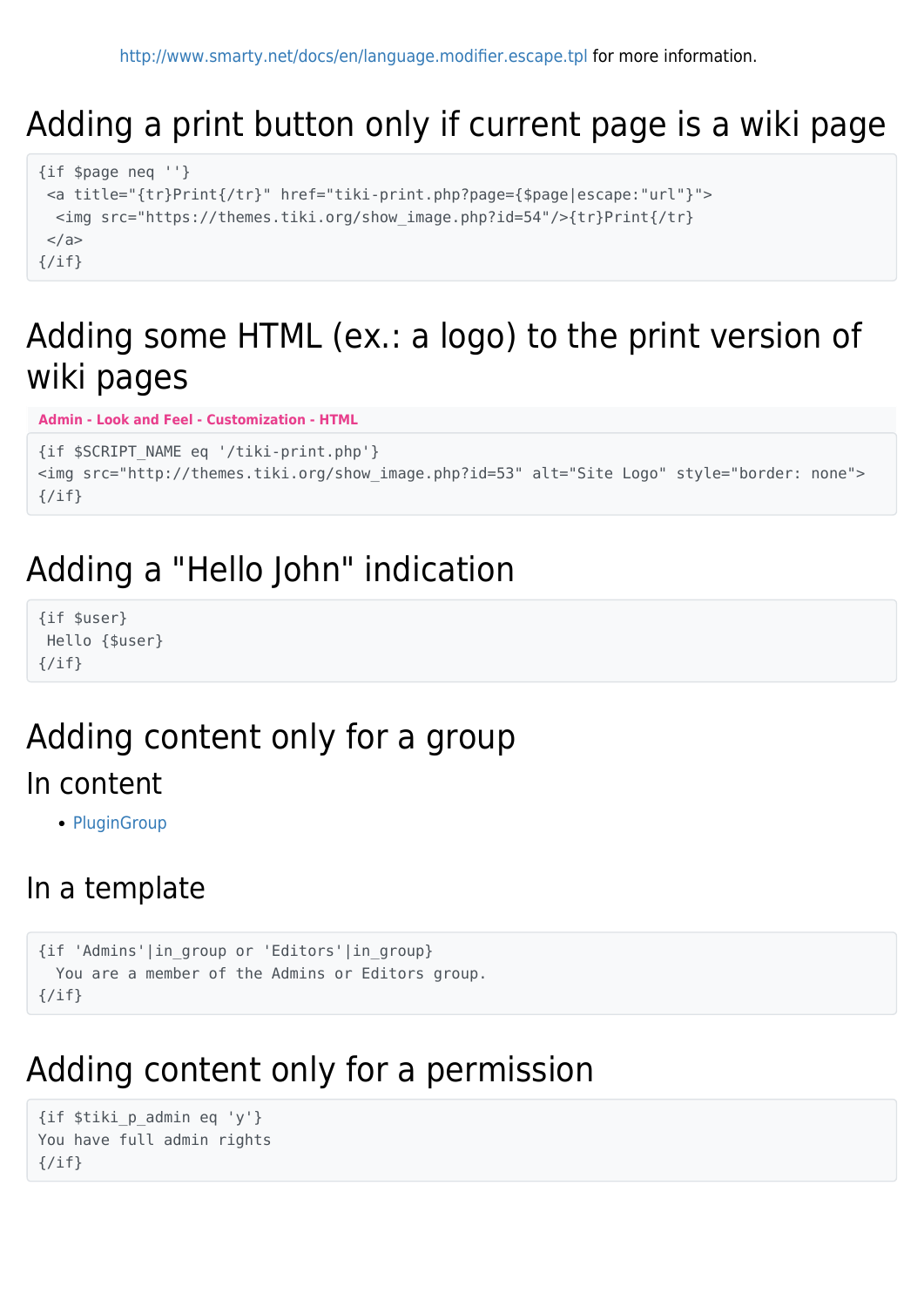#### Adding a print button only if current page is a wiki page

```
{if $page neq ''}
 <a title="{tr}Print{/tr}" href="tiki-print.php?page={$page|escape:"url"}">
   <img src="https://themes.tiki.org/show_image.php?id=54"/>{tr}Print{/tr}
 </a>\{/if\}
```
#### Adding some HTML (ex.: a logo) to the print version of wiki pages

**Admin - Look and Feel - Customization - HTML**

```
{if $SCRIPT_NAME eq '/tiki-print.php'}
<img src="http://themes.tiki.org/show_image.php?id=53" alt="Site Logo" style="border: none">
\{/if\}
```
#### Adding a "Hello John" indication

{if \$user} Hello {\$user}  $\{/if\}$ 

#### Adding content only for a group In content

• [PluginGroup](http://doc.tiki.org/PluginGroup)

#### In a template

```
{if 'Admins'|in_group or 'Editors'|in_group}
   You are a member of the Admins or Editors group.
\{/if\}
```
#### Adding content only for a permission

```
{if $tiki_p_admin eq 'y'}
You have full admin rights
\{/\textit{if}\}
```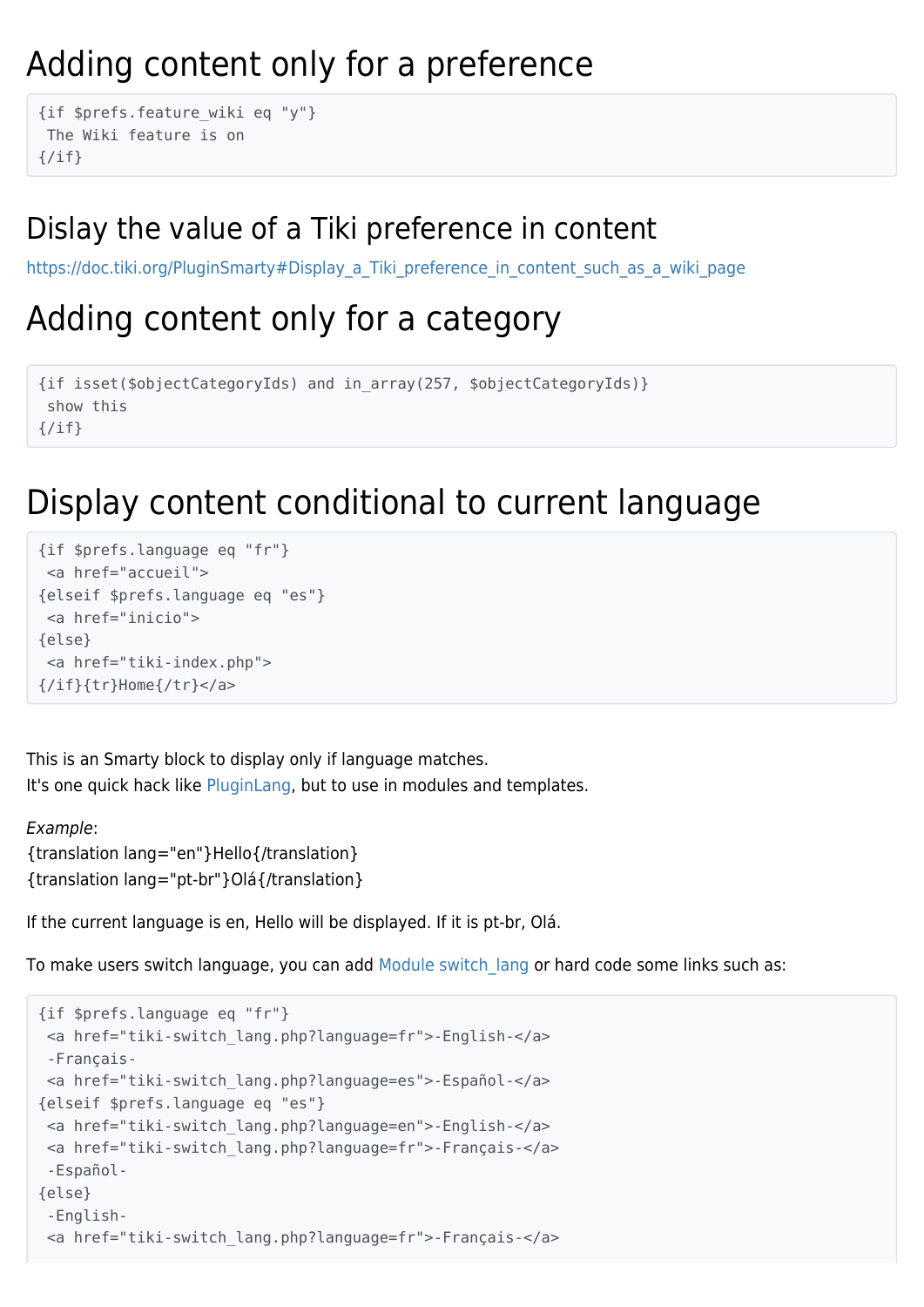#### Adding content only for a preference

```
{if $prefs.feature_wiki eq "y"}
 The Wiki feature is on
\{/if\}
```
#### Dislay the value of a Tiki preference in content

[https://doc.tiki.org/PluginSmarty#Display\\_a\\_Tiki\\_preference\\_in\\_content\\_such\\_as\\_a\\_wiki\\_page](https://doc.tiki.org/PluginSmarty#Display_a_Tiki_preference_in_content_such_as_a_wiki_page)

#### Adding content only for a category

```
{if isset($objectCategoryIds) and in_array(257, $objectCategoryIds)}
  show this
\{/if\}
```
#### Display content conditional to current language

```
{if $prefs.language eq "fr"}
  <a href="accueil">
{elseif $prefs.language eq "es"}
 <a href="inicio">
{else}
 <a href="tiki-index.php">
{/if}{tr}Home{/tr}</a>
```
This is an Smarty block to display only if language matches. It's one quick hack like [PluginLang,](http://doc.tiki.org/PluginLang) but to use in modules and templates.

```
Example:
{translation lang="en"}Hello{/translation}
{translation lang="pt-br"}Olá{/translation}
```
If the current language is en, Hello will be displayed. If it is pt-br, Olá.

To make users switch language, you can add Module switch lang or hard code some links such as:

```
{if $prefs.language eq "fr"}
  <a href="tiki-switch_lang.php?language=fr">-English-</a>
  -Français-
 <a href="tiki-switch_lang.php?language=es">-Español-</a>
{elseif $prefs.language eq "es"}
 <a href="tiki-switch_lang.php?language=en">-English-</a>
 <a href="tiki-switch_lang.php?language=fr">-Français-</a>
  -Español-
{else}
  -English-
  <a href="tiki-switch_lang.php?language=fr">-Français-</a>
```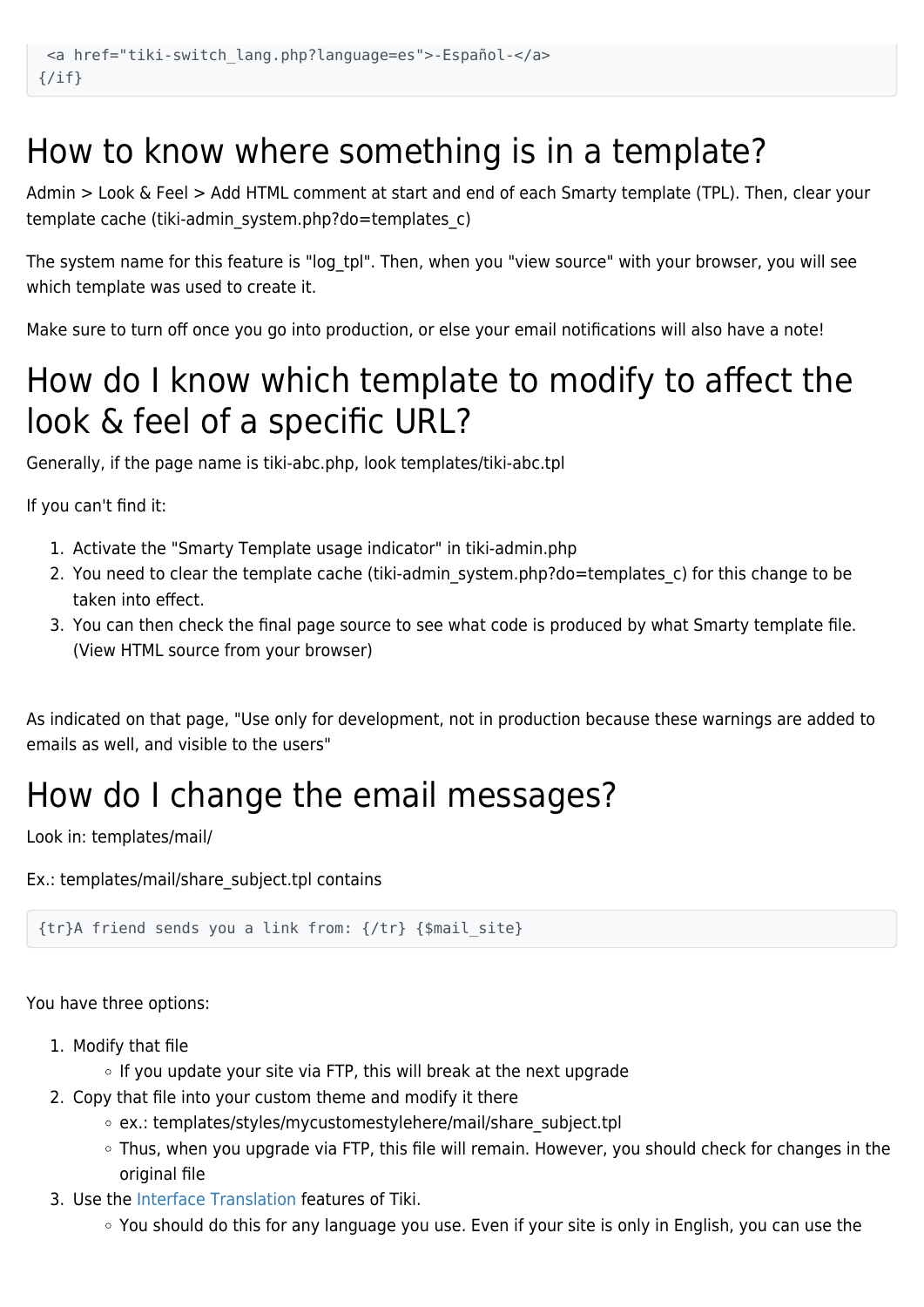#### How to know where something is in a template?

Admin > Look & Feel > Add HTML comment at start and end of each Smarty template (TPL). Then, clear your template cache (tiki-admin\_system.php?do=templates\_c)

The system name for this feature is "log\_tpl". Then, when you "view source" with your browser, you will see which template was used to create it.

Make sure to turn off once you go into production, or else your email notifications will also have a note!

#### How do I know which template to modify to affect the look & feel of a specific URL?

Generally, if the page name is tiki-abc.php, look templates/tiki-abc.tpl

If you can't find it:

- 1. Activate the "Smarty Template usage indicator" in tiki-admin.php
- 2. You need to clear the template cache (tiki-admin\_system.php?do=templates\_c) for this change to be taken into effect.
- 3. You can then check the final page source to see what code is produced by what Smarty template file. (View HTML source from your browser)

As indicated on that page, "Use only for development, not in production because these warnings are added to emails as well, and visible to the users"

#### How do I change the email messages?

Look in: templates/mail/

Ex.: templates/mail/share\_subject.tpl contains

{tr}A friend sends you a link from: {/tr} {\$mail\_site}

You have three options:

- 1. Modify that file
	- $\circ$  If you update your site via FTP, this will break at the next upgrade
- 2. Copy that file into your custom theme and modify it there
	- ex.: templates/styles/mycustomestylehere/mail/share\_subject.tpl
	- Thus, when you upgrade via FTP, this file will remain. However, you should check for changes in the original file
- 3. Use the [Interface Translation](http://doc.tiki.org/Interface%20Translation) features of Tiki.
	- You should do this for any language you use. Even if your site is only in English, you can use the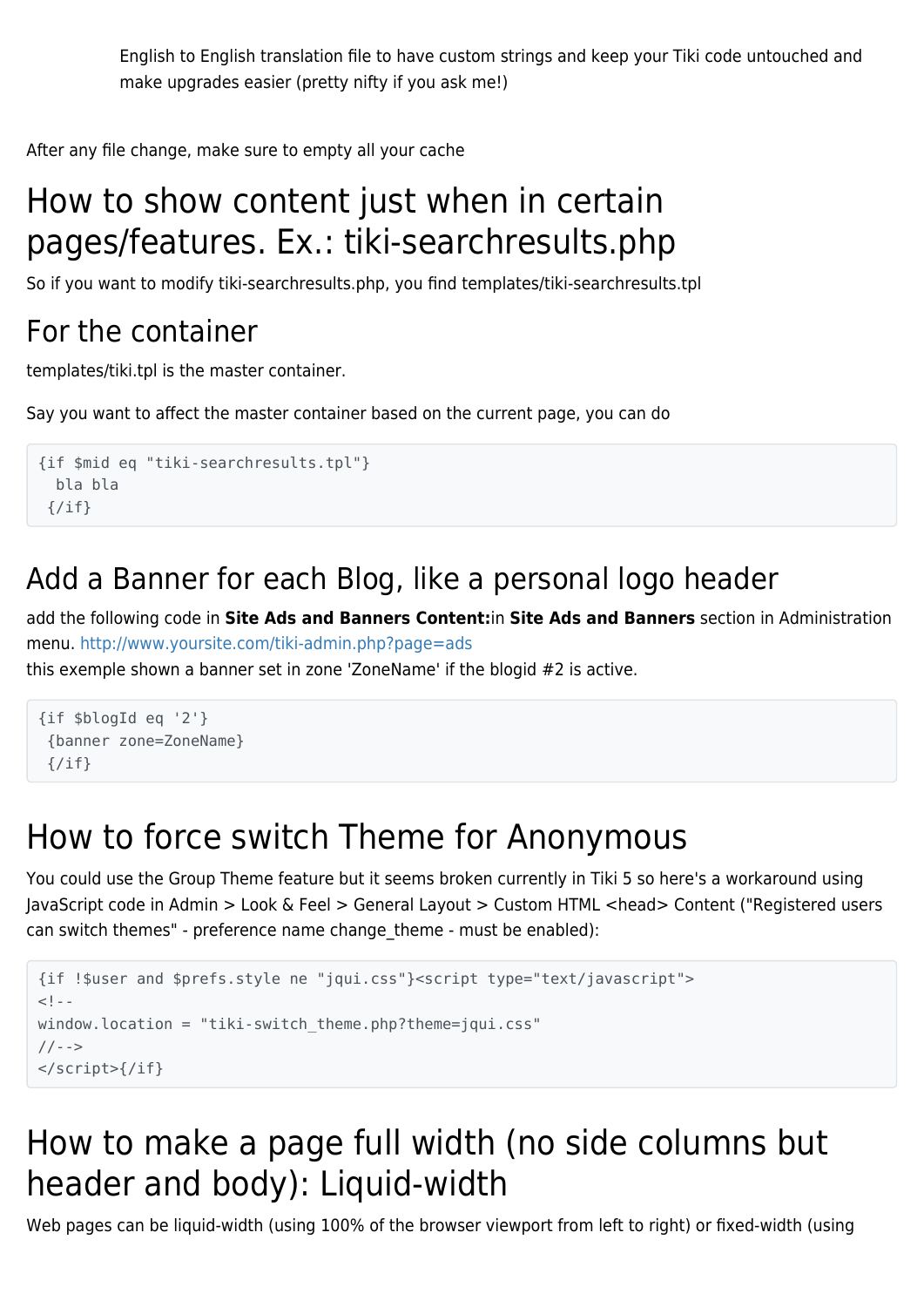English to English translation file to have custom strings and keep your Tiki code untouched and make upgrades easier (pretty nifty if you ask me!)

After any file change, make sure to empty all your cache

#### How to show content just when in certain pages/features. Ex.: tiki-searchresults.php

So if you want to modify tiki-searchresults.php, you find templates/tiki-searchresults.tpl

#### For the container

templates/tiki.tpl is the master container.

Say you want to affect the master container based on the current page, you can do

```
{if $mid eq "tiki-searchresults.tpl"}
   bla bla
 \{/if\}
```
#### Add a Banner for each Blog, like a personal logo header

add the following code in **Site Ads and Banners Content:**in **Site Ads and Banners** section in Administration menu. <http://www.yoursite.com/tiki-admin.php?page=ads>

this exemple shown a banner set in zone 'ZoneName' if the blogid #2 is active.

```
{if $blogId eq '2'}
  {banner zone=ZoneName}
 \{if}
```
#### How to force switch Theme for Anonymous

You could use the Group Theme feature but it seems broken currently in Tiki 5 so here's a workaround using JavaScript code in Admin > Look & Feel > General Layout > Custom HTML <head> Content ("Registered users can switch themes" - preference name change theme - must be enabled):

```
{if !$user and $prefs.style ne "jqui.css"}<script type="text/javascript">
<! -window.location = "tiki-switch theme.php?theme=jqui.css"
//-->
</script>{/if}
```
#### How to make a page full width (no side columns but header and body): Liquid-width

Web pages can be liquid-width (using 100% of the browser viewport from left to right) or fixed-width (using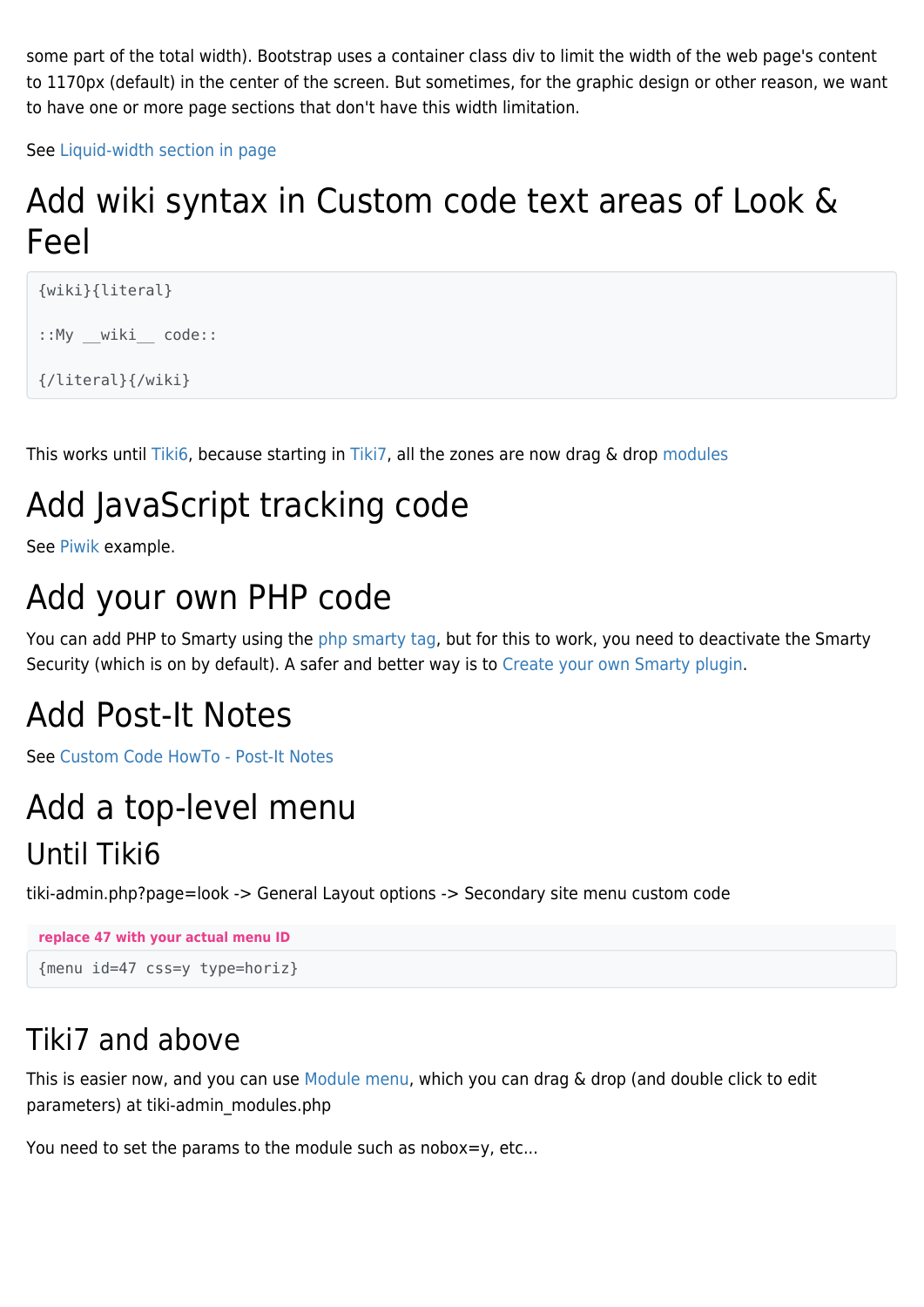some part of the total width). Bootstrap uses a container class div to limit the width of the web page's content to 1170px (default) in the center of the screen. But sometimes, for the graphic design or other reason, we want to have one or more page sections that don't have this width limitation.

See [Liquid-width section in page](https://themes.tiki.org/Liquid-width-section-in-page)

#### Add wiki syntax in Custom code text areas of Look & Feel

```
{wiki}{literal}
::My wiki code::
{/literal}{/wiki}
```
This works until [Tiki6](http://doc.tiki.org/Tiki6), because starting in [Tiki7](http://doc.tiki.org/Tiki7), all the zones are now drag & drop [modules](http://doc.tiki.org/modules)

### Add JavaScript tracking code

See [Piwik](http://doc.tiki.org/Piwik) example.

#### Add your own PHP code

You can add PHP to Smarty using the [php smarty tag](http://www.smarty.net/docs/en/language.function.php.tpl), but for this to work, you need to deactivate the Smarty Security (which is on by default). A safer and better way is to [Create your own Smarty plugin.](http://tikiwiki.svn.sourceforge.net/viewvc/tikiwiki/trunk/lib/smarty_tiki/)

#### Add Post-It Notes

See [Custom Code HowTo - Post-It Notes](http://doc.tiki.org/Custom%20Code%20HowTo%20-%20Post-It%20Notes)

# Add a top-level menu

#### Until Tiki6

tiki-admin.php?page=look -> General Layout options -> Secondary site menu custom code

```
replace 47 with your actual menu ID
{menu id=47 css=y type=horiz}
```
#### Tiki7 and above

This is easier now, and you can use [Module menu,](http://doc.tiki.org/Module%20menu) which you can drag & drop (and double click to edit parameters) at tiki-admin\_modules.php

You need to set the params to the module such as nobox=y, etc...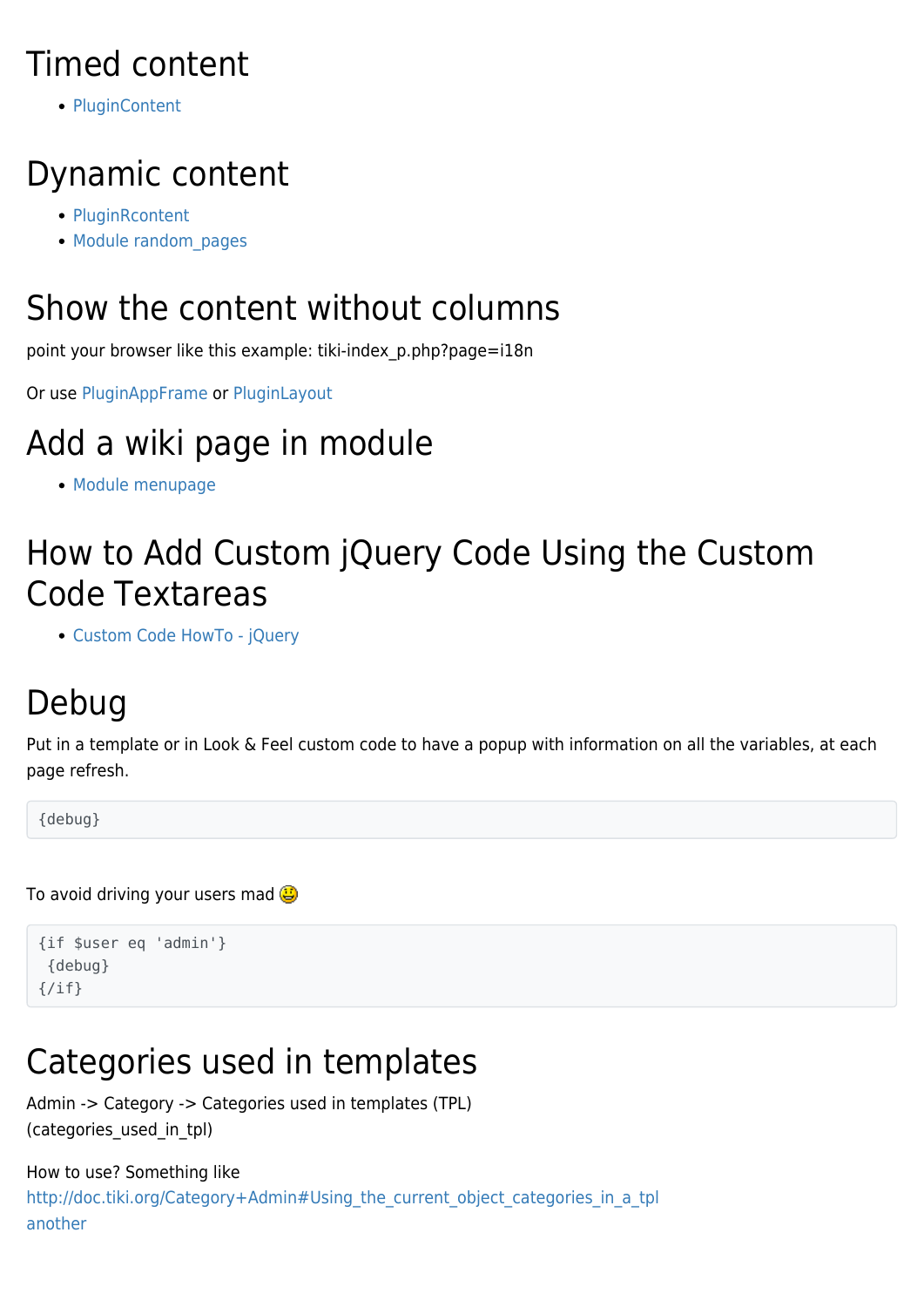#### Timed content

• [PluginContent](http://doc.tiki.org/PluginContent)

### Dynamic content

- [PluginRcontent](http://doc.tiki.org/PluginRcontent)
- Module random pages

#### Show the content without columns

point your browser like this example: tiki-index\_p.php?page=i18n

Or use [PluginAppFrame](http://doc.tiki.org/PluginAppFrame) or [PluginLayout](http://doc.tiki.org/PluginLayout)

### Add a wiki page in module

[Module menupage](http://doc.tiki.org/Module%20menupage)

#### How to Add Custom jQuery Code Using the Custom Code Textareas

[Custom Code HowTo - jQuery](http://doc.tiki.org/Custom%20Code%20HowTo%20-%20jQuery)

## Debug

Put in a template or in Look & Feel custom code to have a popup with information on all the variables, at each page refresh.

{debug}

To avoid driving your users mad  $\bigcirc$ 

```
{if $user eq 'admin'}
  {debug}
\{/if\}
```
### Categories used in templates

```
Admin -> Category -> Categories used in templates (TPL)
(categories_used_in_tpl)
```
#### How to use? Something like [http://doc.tiki.org/Category+Admin#Using\\_the\\_current\\_object\\_categories\\_in\\_a\\_tpl](http://doc.tiki.org/Category+Admin#Using_the_current_object_categories_in_a_tpl) [another](http://dev.tiki.org/Hello+World#To_do_something_specific_in_a_template_ex.:_tiki.tpl_conditional_to_the_current_item_being_in_a_category._Ex.:_different_header_picture.)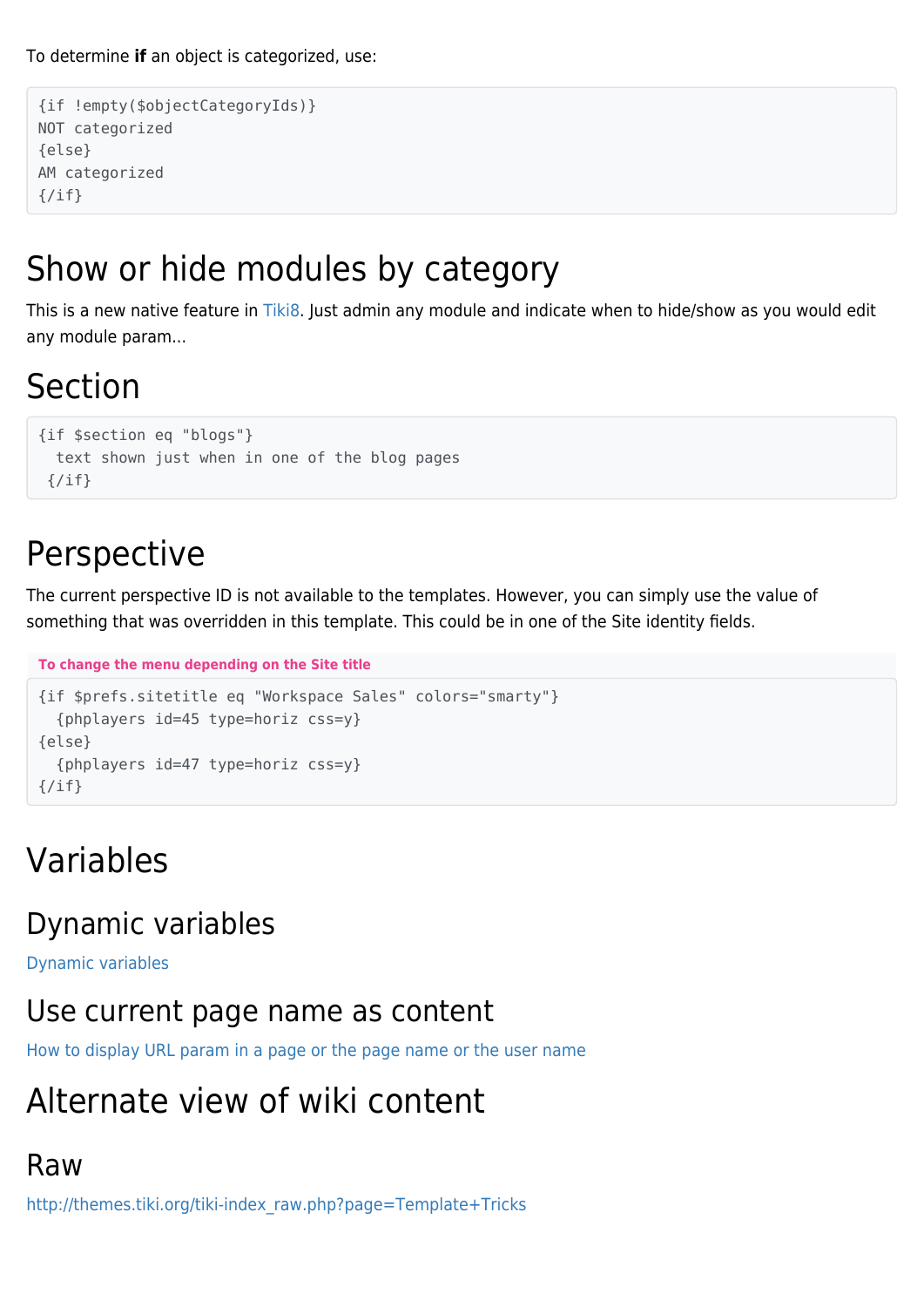To determine **if** an object is categorized, use:

```
{if !empty($objectCategoryIds)}
NOT categorized
{else}
AM categorized
{/if}
```
#### Show or hide modules by category

This is a new native feature in [Tiki8](http://doc.tiki.org/Tiki8). Just admin any module and indicate when to hide/show as you would edit any module param...

#### Section

```
{if $section eq "blogs"}
   text shown just when in one of the blog pages
 \{/\textit{if}\}
```
#### Perspective

The current perspective ID is not available to the templates. However, you can simply use the value of something that was overridden in this template. This could be in one of the Site identity fields.

```
To change the menu depending on the Site title
{if $prefs.sitetitle eq "Workspace Sales" colors="smarty"}
   {phplayers id=45 type=horiz css=y}
{else}
   {phplayers id=47 type=horiz css=y}
```
#### Variables

{/if}

#### Dynamic variables

[Dynamic variables](http://doc.tiki.org/Dynamic%20variables)

#### Use current page name as content

[How to display URL param in a page or the page name or the user name](http://doc.tiki.org/Advanced+Wiki+Syntax+usage+examples#How_to_display_URL_param_in_a_page_or_the_page_name_or_the_user_name)

#### Alternate view of wiki content

#### Raw

[http://themes.tiki.org/tiki-index\\_raw.php?page=Template+Tricks](http://themes.tiki.org/tiki-index_raw.php?page=Template+Tricks)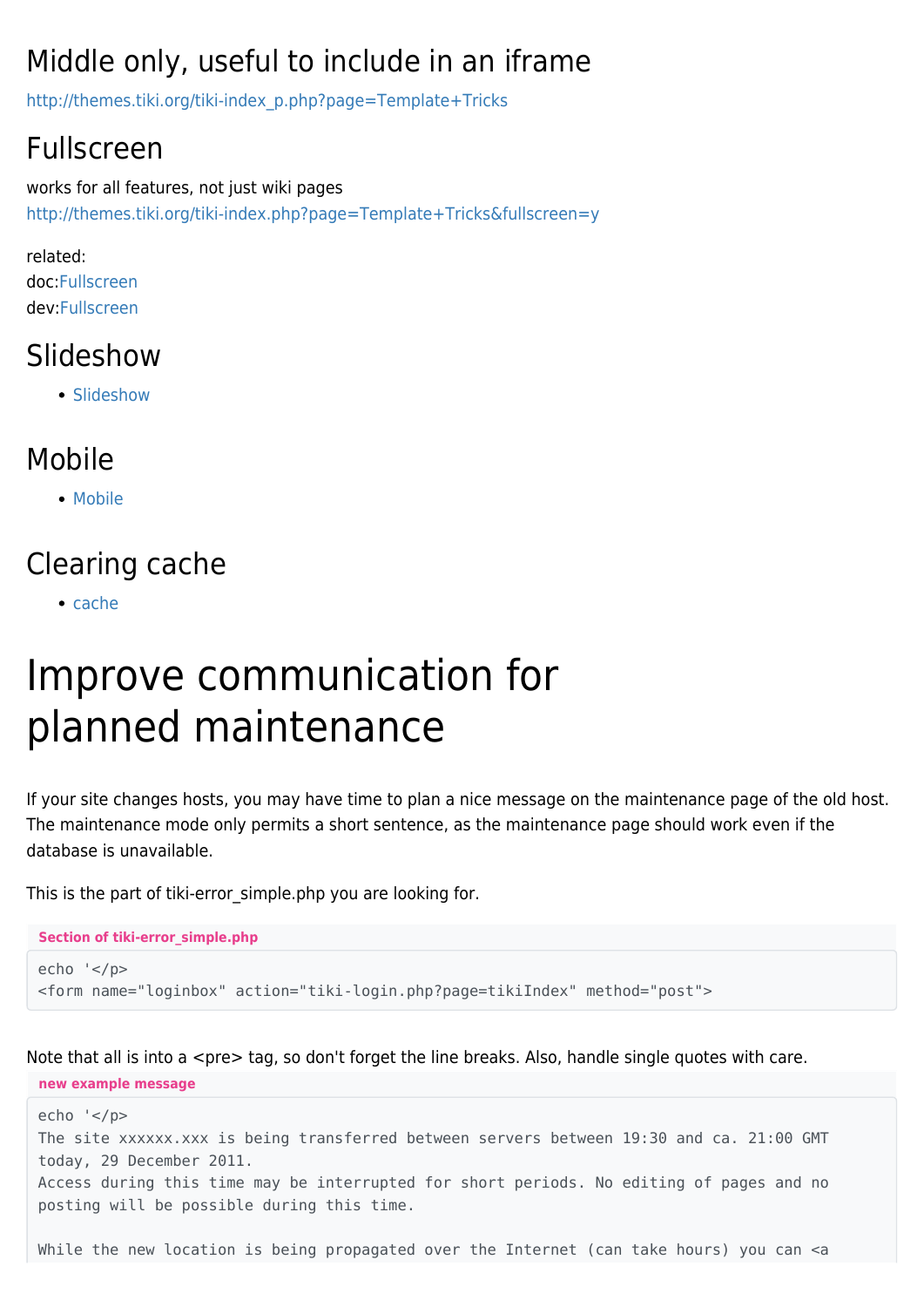#### Middle only, useful to include in an iframe

[http://themes.tiki.org/tiki-index\\_p.php?page=Template+Tricks](http://themes.tiki.org/tiki-index_p.php?page=Template+Tricks)

#### Fullscreen

works for all features, not just wiki pages <http://themes.tiki.org/tiki-index.php?page=Template+Tricks&fullscreen=y>

related: doc[:Fullscreen](http://doc.tiki.org/Fullscreen) dev:[Fullscreen](http://dev.tiki.org/Fullscreen)

#### Slideshow

• [Slideshow](http://doc.tiki.org/Slideshow)

#### Mobile

• [Mobile](http://doc.tiki.org/Mobile)

#### Clearing cache

 $\bullet$  [cache](http://doc.tiki.org/cache)

# Improve communication for planned maintenance

If your site changes hosts, you may have time to plan a nice message on the maintenance page of the old host. The maintenance mode only permits a short sentence, as the maintenance page should work even if the database is unavailable.

This is the part of tiki-error simple.php you are looking for.

```
Section of tiki-error_simple.php
echo '</p>
<form name="loginbox" action="tiki-login.php?page=tikiIndex" method="post">
```
Note that all is into a  $\langle$ pre $>$  tag, so don't forget the line breaks. Also, handle single quotes with care.

#### **new example message**

```
echo '</p>
The site xxxxxx.xxx is being transferred between servers between 19:30 and ca. 21:00 GMT
today, 29 December 2011.
Access during this time may be interrupted for short periods. No editing of pages and no
posting will be possible during this time.
```
While the new location is being propagated over the Internet (can take hours) you can <a